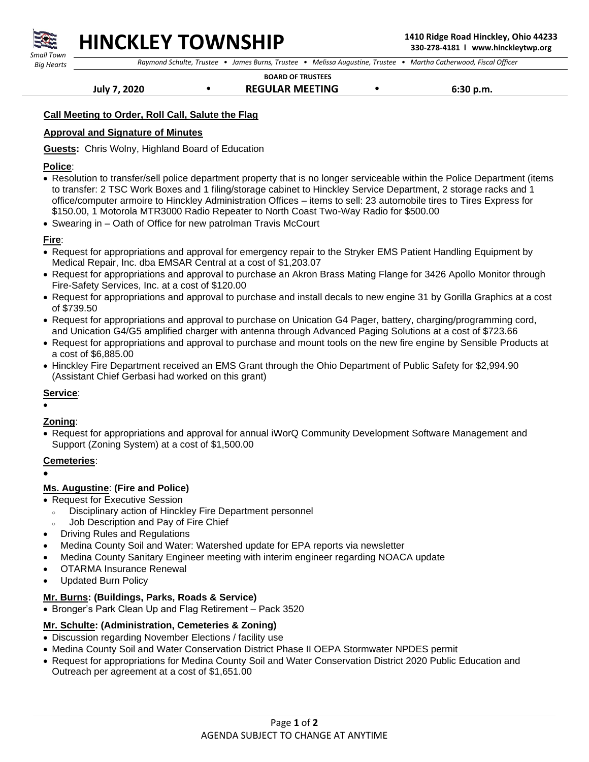

## **HINCKLEY TOWNSHIP 1410 Ridge Road Hinckley, Ohio 44233**

 *Raymond Schulte, Trustee • James Burns, Trustee • Melissa Augustine, Trustee • Martha Catherwood, Fiscal Officer*

 **BOARD OF TRUSTEES**

 **July 7, 2020 • REGULAR MEETING • 6:30 p.m.** 

#### **Call Meeting to Order, Roll Call, Salute the Flag**

### **Approval and Signature of Minutes**

**Guests:** Chris Wolny, Highland Board of Education

#### **Police**:

- Resolution to transfer/sell police department property that is no longer serviceable within the Police Department (items to transfer: 2 TSC Work Boxes and 1 filing/storage cabinet to Hinckley Service Department, 2 storage racks and 1 office/computer armoire to Hinckley Administration Offices – items to sell: 23 automobile tires to Tires Express for \$150.00, 1 Motorola MTR3000 Radio Repeater to North Coast Two-Way Radio for \$500.00
- Swearing in Oath of Office for new patrolman Travis McCourt

#### **Fire**:

- Request for appropriations and approval for emergency repair to the Stryker EMS Patient Handling Equipment by Medical Repair, Inc. dba EMSAR Central at a cost of \$1,203.07
- Request for appropriations and approval to purchase an Akron Brass Mating Flange for 3426 Apollo Monitor through Fire-Safety Services, Inc. at a cost of \$120.00
- Request for appropriations and approval to purchase and install decals to new engine 31 by Gorilla Graphics at a cost of \$739.50
- Request for appropriations and approval to purchase on Unication G4 Pager, battery, charging/programming cord, and Unication G4/G5 amplified charger with antenna through Advanced Paging Solutions at a cost of \$723.66
- Request for appropriations and approval to purchase and mount tools on the new fire engine by Sensible Products at a cost of \$6,885.00
- Hinckley Fire Department received an EMS Grant through the Ohio Department of Public Safety for \$2,994.90 (Assistant Chief Gerbasi had worked on this grant)

### **Service**:

•

## **Zoning**:

• Request for appropriations and approval for annual iWorQ Community Development Software Management and Support (Zoning System) at a cost of \$1,500.00

### **Cemeteries**:

•

## **Ms. Augustine**: **(Fire and Police)**

- Request for Executive Session
	- <sup>o</sup> Disciplinary action of Hinckley Fire Department personnel
- Job Description and Pay of Fire Chief
- Driving Rules and Regulations
- Medina County Soil and Water: Watershed update for EPA reports via newsletter
- Medina County Sanitary Engineer meeting with interim engineer regarding NOACA update
- OTARMA Insurance Renewal
- Updated Burn Policy

## **Mr. Burns: (Buildings, Parks, Roads & Service)**

• Bronger's Park Clean Up and Flag Retirement – Pack 3520

## **Mr. Schulte: (Administration, Cemeteries & Zoning)**

- Discussion regarding November Elections / facility use
- Medina County Soil and Water Conservation District Phase II OEPA Stormwater NPDES permit
- Request for appropriations for Medina County Soil and Water Conservation District 2020 Public Education and Outreach per agreement at a cost of \$1,651.00